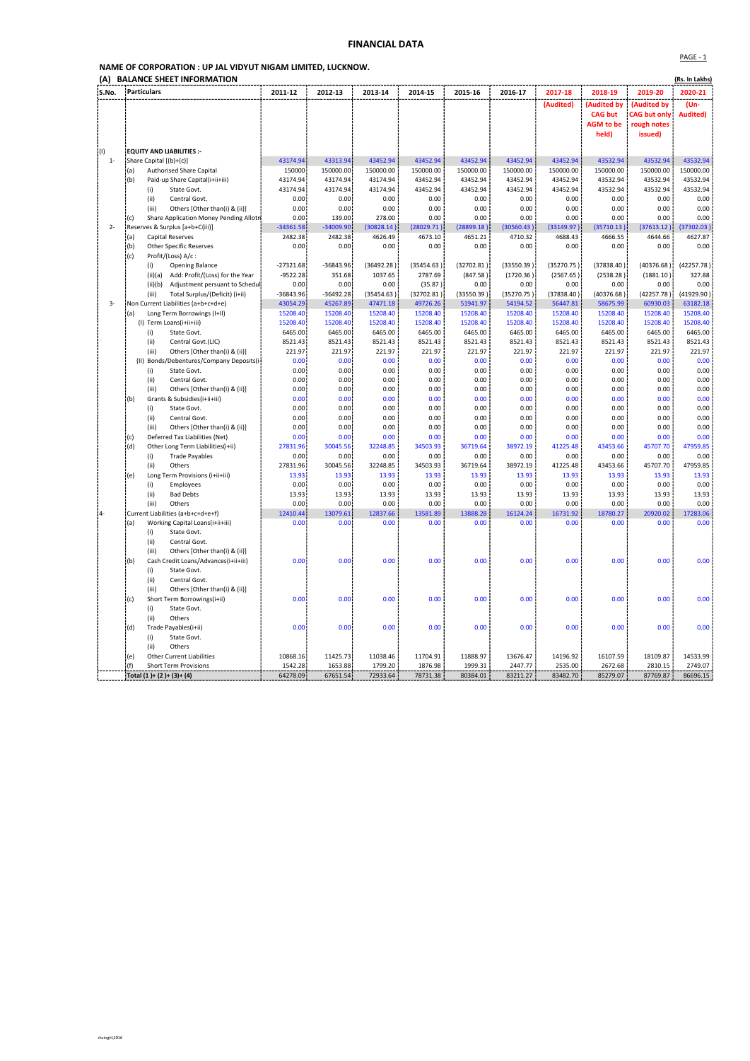## FINANCIAL DATA

## NAME OF CORPORATION : UP JAL VIDYUT NIGAM LIMITED, LUCKNOW.

| (A)         | <b>BALANCE SHEET INFORMATION</b>                                     |              |              |              |              |              |              |              |                  |                     | (Rs. In Lakhs)  |
|-------------|----------------------------------------------------------------------|--------------|--------------|--------------|--------------|--------------|--------------|--------------|------------------|---------------------|-----------------|
| S.No.       | Particulars                                                          | 2011-12      | 2012-13      | 2013-14      | 2014-15      | 2015-16      | 2016-17      | 2017-18      | 2018-19          | 2019-20             | 2020-21         |
|             |                                                                      |              |              |              |              |              |              | (Audited)    | (Audited by      | (Audited by         | (Un-            |
|             |                                                                      |              |              |              |              |              |              |              | <b>CAG but</b>   | <b>CAG but only</b> | <b>Audited)</b> |
|             |                                                                      |              |              |              |              |              |              |              | <b>AGM</b> to be | rough notes         |                 |
|             |                                                                      |              |              |              |              |              |              |              | held)            | issued)             |                 |
| $\cdot$ (I) | EQUITY AND LIABILITIES :-                                            |              |              |              |              |              |              |              |                  |                     |                 |
| $1 -$       | Share Capital [(b)+(c)]                                              | 43174.94     | 43313.94     | 43452.94     | 43452.94     | 43452.94     | 43452.94     | 43452.94     | 43532.94         | 43532.94            | 43532.94        |
|             | <b>Authorised Share Capital</b><br>(a)                               | 150000       | 150000.00    | 150000.00    | 150000.00    | 150000.00    | 150000.00    | 150000.00    | 150000.00        | 150000.00           | 150000.00       |
|             | (b)<br>Paid-up Share Capital(i+ii+iii)                               | 43174.94     | 43174.94     | 43174.94     | 43452.94     | 43452.94     | 43452.94     | 43452.94     | 43532.94         | 43532.94            | 43532.94        |
|             | (i)<br>State Govt.                                                   | 43174.94     | 43174.94     | 43174.94     | 43452.94     | 43452.94     | 43452.94     | 43452.94     | 43532.94         | 43532.94            | 43532.94        |
|             | (ii)<br>Central Govt.                                                | 0.00         | 0.00         | 0.00         | 0.00         | 0.00         | 0.00         | 0.00         | 0.00             | 0.00                | 0.00            |
|             | Others [Other than(i) & (ii)]<br>(iii)                               | 0.00         | 0.00         | 0.00         | 0.00         | 0.00         | 0.00         | 0.00         | 0.00             | 0.00                | 0.00            |
|             | Share Application Money Pending Allotn<br>(c)                        | 0.00         | 139.00       | 278.00       | 0.00         | 0.00         | 0.00         | 0.00         | 0.00             | 0.00                | 0.00            |
| $2 -$       | Reserves & Surplus [a+b+C(iii)]                                      | $-34361.58$  | $-34009.90$  | (30828.14)   | (28029.71)   | (28899.18)   | (30560.43)   | (33149.97)   | (35710.13)       | (37613.12)          | (37302.03)      |
|             | Capital Reserves<br>(a)                                              | 2482.38      | 2482.38      | 4626.49      | 4673.10      | 4651.21      | 4710.32      | 4688.43      | 4666.55          | 4644.66             | 4627.87         |
|             | (b)<br><b>Other Specific Reserves</b>                                | 0.00         | 0.00         | 0.00         | 0.00         | 0.00         | 0.00         | 0.00         | 0.00             | 0.00                | 0.00            |
|             | i(c)<br>Profit/(Loss) A/c:                                           | $-27321.68$  | -36843.96    | (36492.28)   | (35454.63)   | (32702.81)   | (33550.39)   | (35270.75)   | (37838.40)       | (40376.68)          | (42257.78)      |
|             | (i)<br>Opening Balance<br>Add: Profit/(Loss) for the Year<br>(ii)(a) | $-9522.28$   | 351.68       | 1037.65      | 2787.69      | (847.58)     | (1720.36)    | (2567.65)    | (2538.28)        | (1881.10)           | 327.88          |
|             | (ii)(b)<br>Adjustment persuant to Schedul                            | 0.00         | 0.00         | 0.00         | (35.87)      | 0.00         | 0.00         | 0.00         | 0.00             | 0.00                | 0.00            |
|             | (iii)<br>Total Surplus/(Deficit) (i+ii)                              | -36843.96    | $-36492.28$  | (35454.63)   | (32702.81)   | (33550.39)   | (35270.75)   | (37838.40)   | (40376.68)       | (42257.78)          | (41929.90)      |
| $3-$        | Non Current Liabilities (a+b+c+d+e)                                  | 43054.29     | 45267.89     | 47471.18     | 49726.26     | 51941.97     | 54194.52     | 56447.81     | 58675.99         | 60930.03            | 63182.18        |
|             | (a)<br>Long Term Borrowings (I+II)                                   | 15208.40     | 15208.40     | 15208.40     | 15208.40     | 15208.40     | 15208.40     | 15208.40     | 15208.40         | 15208.40            | 15208.40        |
|             | (I) Term Loans(i+ii+iii)                                             | 15208.40     | 15208.40     | 15208.40     | 15208.40     | 15208.40     | 15208.40     | 15208.40     | 15208.40         | 15208.40            | 15208.40        |
|             | (i)<br>State Govt.                                                   | 6465.00      | 6465.00      | 6465.00      | 6465.00      | 6465.00      | 6465.00      | 6465.00      | 6465.00          | 6465.00             | 6465.00         |
|             | (iii)<br>Central Govt.(LIC)                                          | 8521.43      | 8521.43      | 8521.43      | 8521.43      | 8521.43      | 8521.43      | 8521.43      | 8521.43          | 8521.43             | 8521.43         |
|             | (iii)<br>Others [Other than(i) & (ii)]                               | 221.97       | 221.97       | 221.97       | 221.97       | 221.97       | 221.97       | 221.97       | 221.97           | 221.97              | 221.97          |
|             | (II) Bonds/Debentures/Company Deposits(i-                            | 0.00         | 0.00         | 0.00         | 0.00         | 0.00         | 0.00         | 0.00         | 0.00             | 0.00                | 0.00            |
|             | (i)<br>State Govt.                                                   | 0.00         | 0.00         | 0.00         | 0.00         | 0.00         | 0.00         | 0.00         | 0.00             | 0.00                | 0.00            |
|             | Central Govt.<br>(ii)                                                | 0.00         | 0.00         | 0.00         | 0.00         | 0.00         | 0.00         | 0.00         | 0.00             | 0.00                | 0.00            |
|             | (iii)<br>Others [Other than(i) & (ii)]                               | 0.00         | 0.00         | 0.00         | 0.00         | 0.00         | 0.00         | 0.00         | 0.00             | 0.00                | 0.00            |
|             | Grants & Subsidies(i+ii+iii)<br>l(b)<br>State Govt.                  | 0.00<br>0.00 | 0.00<br>0.00 | 0.00<br>0.00 | 0.00<br>0.00 | 0.00<br>0.00 | 0.00<br>0.00 | 0.00<br>0.00 | 0.00<br>0.00     | 0.00<br>0.00        | 0.00<br>0.00    |
|             | (i)<br>(ii)<br>Central Govt.                                         | 0.00         | 0.00         | 0.00         | 0.00         | 0.00         | 0.00         | 0.00         | 0.00             | 0.00                | 0.00            |
|             | (iii)<br>Others [Other than(i) & (ii)]                               | 0.00         | 0.00         | 0.00         | 0.00         | 0.00         | 0.00         | 0.00         | 0.00             | 0.00                | 0.00            |
|             | Deferred Tax Liabilities (Net)<br>(c)                                | 0.00         | 0.00         | 0.00         | 0.00         | 0.00         | 0.00         | 0.00         | 0.00             | 0.00                | 0.00            |
|             | Other Long Term Liabilities(i+ii)<br>(d)                             | 27831.96     | 30045.56     | 32248.85     | 34503.93     | 36719.64     | 38972.19     | 41225.48     | 43453.66         | 45707.70            | 47959.85        |
|             | (i)<br><b>Trade Payables</b>                                         | 0.00         | 0.00         | 0.00         | 0.00         | 0.00         | 0.00         | 0.00         | 0.00             | 0.00                | 0.00            |
|             | (ii)<br>Others                                                       | 27831.96     | 30045.56     | 32248.85     | 34503.93     | 36719.64     | 38972.19     | 41225.48     | 43453.66         | 45707.70            | 47959.85        |
|             | Long Term Provisions (i+ii+iii)<br>(e)                               | 13.93        | 13.93        | 13.93        | 13.93        | 13.93        | 13.93        | 13.93        | 13.93            | 13.93               | 13.93           |
|             | (i)<br>Employees                                                     | 0.00         | 0.00         | 0.00         | 0.00         | 0.00         | 0.00         | 0.00         | 0.00             | 0.00                | 0.00            |
|             | <b>Bad Debts</b><br>(ii)                                             | 13.93        | 13.93        | 13.93        | 13.93        | 13.93        | 13.93        | 13.93        | 13.93            | 13.93               | 13.93           |
|             | Others<br>(iii)                                                      | 0.00         | 0.00         | 0.00         | 0.00         | 0.00         | 0.00         | 0.00         | 0.00             | 0.00                | 0.00            |
| ļ4-         | Current Liabilities (a+b+c+d+e+f)                                    | 12410.44     | 13079.61     | 12837.66     | 13581.89     | 13888.28     | 16124.24     | 16731.92     | 18780.27         | 20920.02            | 17283.06        |
|             | Working Capital Loans(i+ii+iii)<br>(a)                               | 0.00         | 0.00         | 0.00         | 0.00         | 0.00         | 0.00         | 0.00         | 0.00             | 0.00                | 0.00            |
|             | State Govt.<br>(i)<br>Central Govt.<br>(ii)                          |              |              |              |              |              |              |              |                  |                     |                 |
|             | Others [Other than(i) & (ii)]<br>(iii)                               |              |              |              |              |              |              |              |                  |                     |                 |
|             | (b)<br>Cash Credit Loans/Advances(i+ii+iii)                          | 0.00         | 0.00         | 0.00         | 0.00         | 0.00         | 0.00         | 0.00         | 0.00             | 0.00                | 0.00            |
|             | (i)<br>State Govt.                                                   |              |              |              |              |              |              |              |                  |                     |                 |
|             | (ii)<br>Central Govt.                                                |              |              |              |              |              |              |              |                  |                     |                 |
|             | (iii)<br>Others [Other than(i) & (ii)]                               |              |              |              |              |              |              |              |                  |                     |                 |
|             | Short Term Borrowings(i+ii)<br>(c)                                   | 0.00         | 0.00         | 0.00         | 0.00         | 0.00         | 0.00         | 0.00         | 0.00             | 0.00                | 0.00            |
|             | (i)<br>State Govt.                                                   |              |              |              |              |              |              |              |                  |                     |                 |
|             | (ii)<br>Others                                                       |              |              |              |              |              |              |              |                  |                     |                 |
|             | Trade Payables(i+ii)<br>(d)                                          | 0.00         | 0.00         | 0.00         | 0.00         | 0.00         | 0.00         | 0.00         | 0.00             | 0.00                | 0.00            |
|             | State Govt.<br>(i)                                                   |              |              |              |              |              |              |              |                  |                     |                 |
|             | Others<br>(ii)                                                       |              |              |              |              |              |              |              |                  |                     |                 |
|             | <b>Other Current Liabilities</b><br>(e)                              | 10868.16     | 11425.73     | 11038.46     | 11704.91     | 11888.97     | 13676.47     | 14196.92     | 16107.59         | 18109.87            | 14533.99        |
|             | (f)<br><b>Short Term Provisions</b>                                  | 1542.28      | 1653.88      | 1799.20      | 1876.98      | 1999.31      | 2447.77      | 2535.00      | 2672.68          | 2810.15             | 2749.07         |
|             | Total (1)+ (2)+ (3)+ (4)                                             | 64278.09     | 67651.54     | 72933.64     | 78731.38     | 80384.01     | 83211.27     | 83482.70     | 85279.07         | 87769.87            | 86696.15        |

PAGE - 1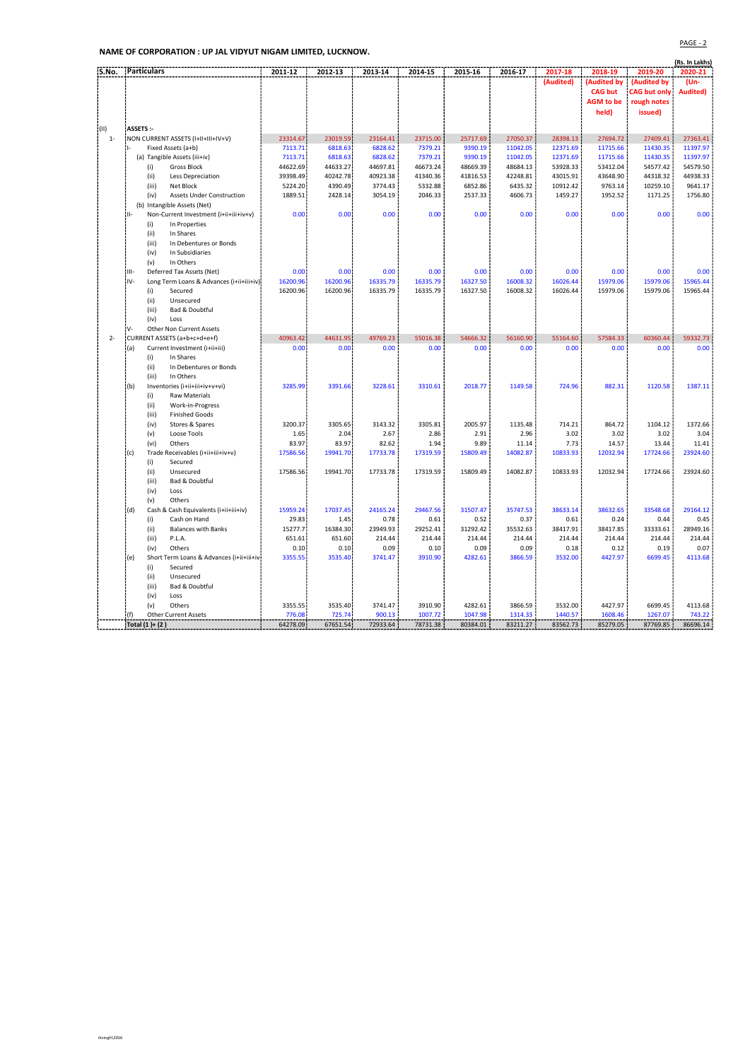NAME OF CORPORATION : UP JAL VIDYUT NIGAM LIMITED, LUCKNOW.

|       |                                                   |                   |                   |                   |                    |                    |                    |                    |                    |                     | (Rs. In Lakhs)    |
|-------|---------------------------------------------------|-------------------|-------------------|-------------------|--------------------|--------------------|--------------------|--------------------|--------------------|---------------------|-------------------|
| S.No. | Particulars                                       | 2011-12           | 2012-13           | 2013-14           | 2014-15            | 2015-16            | 2016-17            | 2017-18            | 2018-19            | 2019-20             | 2020-21           |
|       |                                                   |                   |                   |                   |                    |                    |                    | (Audited)          | <b>Audited by</b>  | (Audited by         | (Un-              |
|       |                                                   |                   |                   |                   |                    |                    |                    |                    | <b>CAG but</b>     | <b>CAG but only</b> | <b>Audited)</b>   |
|       |                                                   |                   |                   |                   |                    |                    |                    |                    | <b>AGM</b> to be   | rough notes         |                   |
|       |                                                   |                   |                   |                   |                    |                    |                    |                    | held)              | issued)             |                   |
|       |                                                   |                   |                   |                   |                    |                    |                    |                    |                    |                     |                   |
| i(II) | ASSETS:-                                          |                   |                   |                   |                    |                    |                    |                    |                    |                     |                   |
| $1 -$ | NON CURRENT ASSETS (I+II+III+IV+V)                | 23314.67          | 23019.59          | 23164.41          | 23715.00           | 25717.69           | 27050.37           | 28398.13           | 27694.72           | 27409.41            | 27363.41          |
|       | Fixed Assets (a+b)                                | 7113.71           | 6818.63           | 6828.62           | 7379.21            | 9390.19            | 11042.05           | 12371.69           | 11715.66           | 11430.35            | 11397.97          |
|       | (a) Tangible Assets (iii+iv)                      | 7113.71           | 6818.63           | 6828.62           | 7379.21            | 9390.19            | 11042.05           | 12371.69           | 11715.66           | 11430.35            | 11397.97          |
|       | <b>Gross Block</b><br>(i)                         | 44622.69          | 44633.27          | 44697.81          | 46673.24           | 48669.39           | 48684.13           | 53928.33           | 53412.04           | 54577.42            | 54579.50          |
|       | (ii)<br>Less Depreciation                         | 39398.49          | 40242.78          | 40923.38          | 41340.36           | 41816.53           | 42248.81           | 43015.91           | 43648.90           | 44318.32            | 44938.33          |
|       | (iii)<br>Net Block                                | 5224.20           | 4390.49           | 3774.43           | 5332.88            | 6852.86            | 6435.32            | 10912.42           | 9763.14            | 10259.10            | 9641.17           |
|       | <b>Assets Under Construction</b><br>(iv)          | 1889.51           | 2428.14           | 3054.19           | 2046.33            | 2537.33            | 4606.73            | 1459.27            | 1952.52            | 1171.25             | 1756.80           |
|       | (b) Intangible Assets (Net)                       |                   |                   |                   |                    |                    |                    |                    |                    |                     |                   |
|       | Non-Current Investment (i+ii+iii+iv+v)<br>ŀ۱ŀ     | 0.00              | 0.00              | 0.00              | 0.00               | 0.00               | 0.00               | 0.00               | 0.00               | 0.00                | 0.00              |
|       | In Properties<br>(i)                              |                   |                   |                   |                    |                    |                    |                    |                    |                     |                   |
|       | (ii)<br>In Shares                                 |                   |                   |                   |                    |                    |                    |                    |                    |                     |                   |
|       | (iii)<br>In Debentures or Bonds                   |                   |                   |                   |                    |                    |                    |                    |                    |                     |                   |
|       | In Subsidiaries<br>(iv)<br>In Others              |                   |                   |                   |                    |                    |                    |                    |                    |                     |                   |
|       | (v)                                               |                   |                   | 0.00              | 0.00               | 0.00               | 0.00               | 0.00               | 0.00               | 0.00                | 0.00              |
|       | HI-<br>Deferred Tax Assets (Net)                  | 0.00              | 0.00              |                   |                    |                    |                    |                    |                    |                     |                   |
|       | IV-<br>Long Term Loans & Advances (i+ii+iii+iv)!  | 16200.96          | 16200.96          | 16335.79          | 16335.79           | 16327.50           | 16008.32           | 16026.44           | 15979.06           | 15979.06            | 15965.44          |
|       | (i)<br>Secured                                    | 16200.96          | 16200.96          | 16335.79          | 16335.79           | 16327.50           | 16008.32           | 16026.44           | 15979.06           | 15979.06            | 15965.44          |
|       | (i)<br>Unsecured<br>Bad & Doubtful                |                   |                   |                   |                    |                    |                    |                    |                    |                     |                   |
|       | (iii)<br>Loss                                     |                   |                   |                   |                    |                    |                    |                    |                    |                     |                   |
|       | (iv)<br>V-                                        |                   |                   |                   |                    |                    |                    |                    |                    |                     |                   |
|       | Other Non Current Assets                          |                   |                   |                   |                    |                    |                    |                    |                    |                     |                   |
| $2 -$ | CURRENT ASSETS (a+b+c+d+e+f)                      | 40963.42          | 44631.95          | 49769.23          | 55016.38           | 54666.32           | 56160.90           | 55164.60           | 57584.33           | 60360.44            | 59332.73          |
|       | Current Investment (i+ii+iii)<br>(a)<br>In Shares | 0.00              | 0.00              | 0.00              | 0.00               | 0.00               | 0.00               | 0.00               | 0.00               | 0.00                | 0.00              |
|       | (i)                                               |                   |                   |                   |                    |                    |                    |                    |                    |                     |                   |
|       | (iii)<br>In Debentures or Bonds                   |                   |                   |                   |                    |                    |                    |                    |                    |                     |                   |
|       | (iii)<br>In Others                                | 3285.99           | 3391.66           | 3228.61           | 3310.61            | 2018.77            | 1149.58            | 724.96             | 882.31             | 1120.58             | 1387.11           |
|       | (b)<br>Inventories (i+ii+iii+iv+v+vi)             |                   |                   |                   |                    |                    |                    |                    |                    |                     |                   |
|       | (i)<br><b>Raw Materials</b>                       |                   |                   |                   |                    |                    |                    |                    |                    |                     |                   |
|       | (iii)<br>Work-in-Progress                         |                   |                   |                   |                    |                    |                    |                    |                    |                     |                   |
|       | (iii)<br><b>Finished Goods</b>                    | 3200.37           | 3305.65           | 3143.32           | 3305.81            | 2005.97            | 1135.48            | 714.21             | 864.72             | 1104.12             | 1372.66           |
|       | (iv)<br>Stores & Spares<br>Loose Tools            |                   | 2.04              | 2.67              | 2.86               | 2.91               | 2.96               | 3.02               | 3.02               | 3.02                | 3.04              |
|       | (v)                                               | 1.65              |                   |                   |                    |                    |                    |                    |                    |                     |                   |
|       | Others<br>(vi)                                    | 83.97             | 83.97             | 82.62             | 1.94               | 9.89               | 11.14              | 7.73               | 14.57              | 13.44               | 11.41             |
|       | (c)<br>Trade Receivables (i+ii+iii+iv+v)          | 17586.56          | 19941.70          | 17733.78          | 17319.59           | 15809.49           | 14082.87           | 10833.93           | 12032.94           | 17724.66            | 23924.60          |
|       | (i)<br>Secured<br>Unsecured                       | 17586.56          | 19941.70          | 17733.78          | 17319.59           | 15809.49           | 14082.87           | 10833.93           | 12032.94           | 17724.66            | 23924.60          |
|       | (i)                                               |                   |                   |                   |                    |                    |                    |                    |                    |                     |                   |
|       | (iii)<br><b>Bad &amp; Doubtful</b>                |                   |                   |                   |                    |                    |                    |                    |                    |                     |                   |
|       | (iv)<br>Loss<br>(v)<br>Others                     |                   |                   |                   |                    |                    |                    |                    |                    |                     |                   |
|       |                                                   |                   | 17037.45          | 24165.24          | 29467.56           | 31507.47           | 35747.53           | 38633.14           | 38632.65           | 33548.68            | 29164.12          |
|       | Cash & Cash Equivalents (i+ii+iii+iv)<br>(d)      | 15959.24          |                   |                   |                    |                    |                    |                    |                    |                     |                   |
|       | (i)<br>Cash on Hand                               | 29.83             | 1.45              | 0.78              | 0.61               | 0.52               | 0.37               | 0.61               | 0.24               | 0.44                | 0.45              |
|       | (ii)<br><b>Balances with Banks</b>                | 15277.7           | 16384.30          | 23949.93          | 29252.41           | 31292.42           | 35532.63           | 38417.91           | 38417.85           | 33333.61            | 28949.16          |
|       | (iii)<br>P.L.A.                                   | 651.61            | 651.60            | 214.44            | 214.44             | 214.44             | 214.44             | 214.44             | 214.44             | 214.44              | 214.44            |
|       | (iv)<br>Others                                    | 0.10              | 0.10              | 0.09              | 0.10               | 0.09               | 0.09               | 0.18               | 0.12               | 0.19                | 0.07              |
|       | (e)<br>Short Term Loans & Advances (i+ii+iii+ivi  | 3355.55           | 3535.40           | 3741.47           | 3910.90            | 4282.61            | 3866.59            | 3532.00            | 4427.97            | 6699.45             | 4113.68           |
|       | (i)<br>Secured                                    |                   |                   |                   |                    |                    |                    |                    |                    |                     |                   |
|       | (ii)<br>Unsecured                                 |                   |                   |                   |                    |                    |                    |                    |                    |                     |                   |
|       | (iii)<br><b>Bad &amp; Doubtful</b>                |                   |                   |                   |                    |                    |                    |                    |                    |                     |                   |
|       | (iv)<br>Loss                                      |                   |                   |                   |                    |                    |                    |                    |                    |                     |                   |
|       | Others<br>(v)                                     | 3355.55<br>776.08 | 3535.40<br>725.74 | 3741.47<br>900.13 | 3910.90<br>1007.72 | 4282.61<br>1047.98 | 3866.59<br>1314.33 | 3532.00<br>1440.57 | 4427.97<br>1608.46 | 6699.45             | 4113.68<br>743.22 |
|       | (f)<br><b>Other Current Assets</b>                |                   | 67651.54          |                   |                    |                    | 83211.27           |                    |                    | 1267.07             |                   |
|       | Total (1)+ (2)                                    | 64278.09          |                   | 72933.64          | 78731.38           | 80384.01           |                    | 83562.73           | 85279.05           | 87769.85            | 86696.14          |

PAGE - 2